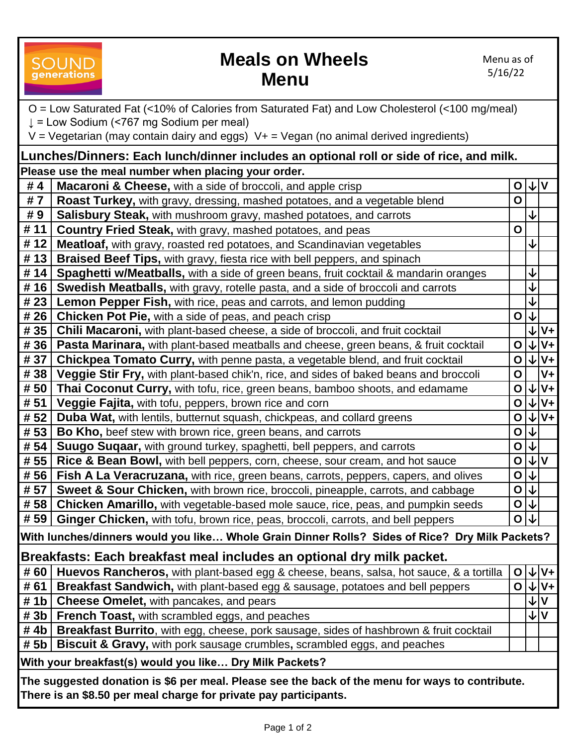### OUND **generations**

### **Meals on Wheels Menu**

| O = Low Saturated Fat (<10% of Calories from Saturated Fat) and Low Cholesterol (<100 mg/meal)  |                                                                                                 |                 |                  |         |
|-------------------------------------------------------------------------------------------------|-------------------------------------------------------------------------------------------------|-----------------|------------------|---------|
| $\downarrow$ = Low Sodium (<767 mg Sodium per meal)                                             |                                                                                                 |                 |                  |         |
| $V = V$ egetarian (may contain dairy and eggs) $V + V = V$ egan (no animal derived ingredients) |                                                                                                 |                 |                  |         |
| Lunches/Dinners: Each lunch/dinner includes an optional roll or side of rice, and milk.         |                                                                                                 |                 |                  |         |
| Please use the meal number when placing your order.                                             |                                                                                                 |                 |                  |         |
| #4                                                                                              | Macaroni & Cheese, with a side of broccoli, and apple crisp                                     |                 | $O \downarrow V$ |         |
| #7                                                                                              | Roast Turkey, with gravy, dressing, mashed potatoes, and a vegetable blend                      | $\mathbf O$     |                  |         |
| #9                                                                                              | <b>Salisbury Steak,</b> with mushroom gravy, mashed potatoes, and carrots                       |                 |                  |         |
| # 11                                                                                            | <b>Country Fried Steak, with gravy, mashed potatoes, and peas</b>                               | $\mathbf O$     |                  |         |
| # 12                                                                                            | Meatloaf, with gravy, roasted red potatoes, and Scandinavian vegetables                         |                 |                  |         |
| # 13                                                                                            | Braised Beef Tips, with gravy, fiesta rice with bell peppers, and spinach                       |                 |                  |         |
| #14                                                                                             | Spaghetti w/Meatballs, with a side of green beans, fruit cocktail & mandarin oranges            |                 | ↓                |         |
| # 16                                                                                            | Swedish Meatballs, with gravy, rotelle pasta, and a side of broccoli and carrots                |                 | ↓                |         |
| # 23                                                                                            | Lemon Pepper Fish, with rice, peas and carrots, and lemon pudding                               |                 | ↓                |         |
| # 26                                                                                            | Chicken Pot Pie, with a side of peas, and peach crisp                                           | $\mathbf O$     | <b>∣↓</b>        |         |
| # 35                                                                                            | Chili Macaroni, with plant-based cheese, a side of broccoli, and fruit cocktail                 |                 | ↓                | $V +$   |
| # 36                                                                                            | <b>Pasta Marinara, with plant-based meatballs and cheese, green beans, &amp; fruit cocktail</b> | $\mathbf{o}$    | $V +$            |         |
| # 37                                                                                            | Chickpea Tomato Curry, with penne pasta, a vegetable blend, and fruit cocktail                  | $\mathbf{o}$    | $\downarrow$     | $V_{+}$ |
| # 38                                                                                            | Veggie Stir Fry, with plant-based chik'n, rice, and sides of baked beans and broccoli           | $\mathbf O$     |                  | $V +$   |
| # 50                                                                                            | Thai Coconut Curry, with tofu, rice, green beans, bamboo shoots, and edamame                    | $\mathbf{o}$    | $\downarrow$     | $V +$   |
| # 51                                                                                            | Veggie Fajita, with tofu, peppers, brown rice and corn                                          | $\mathbf O$     | $V +$            |         |
| # 52                                                                                            | <b>Duba Wat, with lentils, butternut squash, chickpeas, and collard greens</b>                  | $\mathbf{o}$    | $ V V+$          |         |
| # 53                                                                                            | Bo Kho, beef stew with brown rice, green beans, and carrots                                     | $\mathbf{o}$    | ⇃↓               |         |
| # 54                                                                                            | Suugo Suqaar, with ground turkey, spaghetti, bell peppers, and carrots                          | $\mathbf{o}$    |                  |         |
| # 55                                                                                            | Rice & Bean Bowl, with bell peppers, corn, cheese, sour cream, and hot sauce                    | $\mathbf O$     | V                |         |
| # 56                                                                                            | <b>Fish A La Veracruzana,</b> with rice, green beans, carrots, peppers, capers, and olives      | $\mathbf{o}$    |                  |         |
| # 57                                                                                            | Sweet & Sour Chicken, with brown rice, broccoli, pineapple, carrots, and cabbage                | $\mathbf 0$     | ΙΨ               |         |
| # 58                                                                                            | Chicken Amarillo, with vegetable-based mole sauce, rice, peas, and pumpkin seeds                | $\mathbf{o}$    |                  |         |
|                                                                                                 | #59   Ginger Chicken, with tofu, brown rice, peas, broccoli, carrots, and bell peppers          | $O \downarrow $ |                  |         |
| With lunches/dinners would you like Whole Grain Dinner Rolls? Sides of Rice? Dry Milk Packets?  |                                                                                                 |                 |                  |         |
| Breakfasts: Each breakfast meal includes an optional dry milk packet.                           |                                                                                                 |                 |                  |         |
| # 60                                                                                            | Huevos Rancheros, with plant-based egg & cheese, beans, salsa, hot sauce, & a tortilla          | $\mathsf{O}$    | $V+$<br>↓        |         |
| # 61                                                                                            | Breakfast Sandwich, with plant-based egg & sausage, potatoes and bell peppers                   | $O \downarrow$  | $V +$            |         |
| # 1 $b$                                                                                         | Cheese Omelet, with pancakes, and pears                                                         |                 | $\mathbf v$<br>↓ |         |
| # 3b                                                                                            | <b>French Toast, with scrambled eggs, and peaches</b>                                           |                 | <b>VV</b>        |         |
| #4 $b$                                                                                          | <b>Breakfast Burrito</b> , with egg, cheese, pork sausage, sides of hashbrown & fruit cocktail  |                 |                  |         |
| # 5b                                                                                            | <b>Biscuit &amp; Gravy, with pork sausage crumbles, scrambled eggs, and peaches</b>             |                 |                  |         |
| With your breakfast(s) would you like Dry Milk Packets?                                         |                                                                                                 |                 |                  |         |
| The suggested donation is \$6 per meal. Please see the back of the menu for ways to contribute. |                                                                                                 |                 |                  |         |
| There is an \$8.50 per meal charge for private pay participants.                                |                                                                                                 |                 |                  |         |